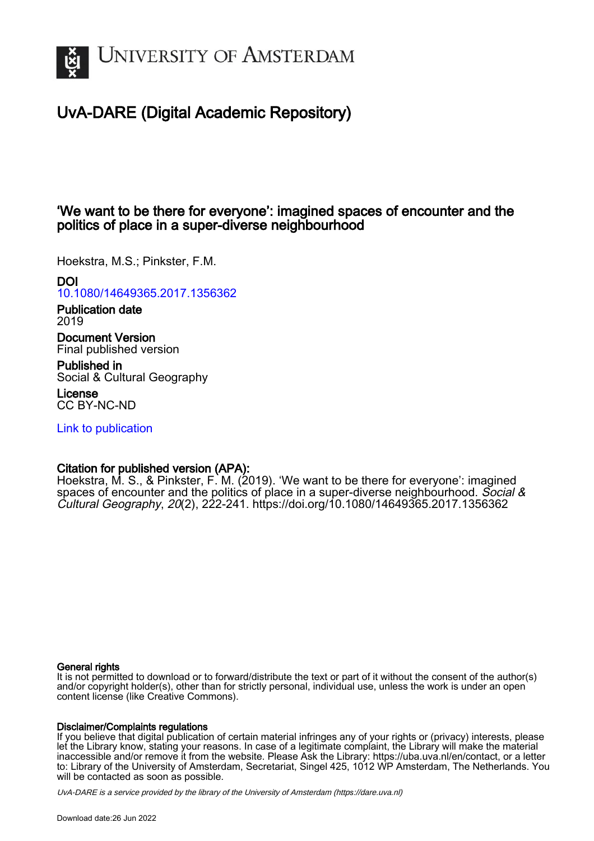

# UvA-DARE (Digital Academic Repository)

# 'We want to be there for everyone': imagined spaces of encounter and the politics of place in a super-diverse neighbourhood

Hoekstra, M.S.; Pinkster, F.M.

# DOI

[10.1080/14649365.2017.1356362](https://doi.org/10.1080/14649365.2017.1356362)

Publication date 2019

Document Version Final published version

Published in Social & Cultural Geography

License CC BY-NC-ND

[Link to publication](https://dare.uva.nl/personal/pure/en/publications/we-want-to-be-there-for-everyone-imagined-spaces-of-encounter-and-the-politics-of-place-in-a-superdiverse-neighbourhood(77a3c4fa-6679-4ed2-b55a-350061408da2).html)

# Citation for published version (APA):

Hoekstra, M. S., & Pinkster, F. M. (2019). 'We want to be there for everyone': imagined spaces of encounter and the politics of place in a super-diverse neighbourhood. Social  $\&$ Cultural Geography, 20(2), 222-241. <https://doi.org/10.1080/14649365.2017.1356362>

#### General rights

It is not permitted to download or to forward/distribute the text or part of it without the consent of the author(s) and/or copyright holder(s), other than for strictly personal, individual use, unless the work is under an open content license (like Creative Commons).

#### Disclaimer/Complaints regulations

If you believe that digital publication of certain material infringes any of your rights or (privacy) interests, please let the Library know, stating your reasons. In case of a legitimate complaint, the Library will make the material inaccessible and/or remove it from the website. Please Ask the Library: https://uba.uva.nl/en/contact, or a letter to: Library of the University of Amsterdam, Secretariat, Singel 425, 1012 WP Amsterdam, The Netherlands. You will be contacted as soon as possible.

UvA-DARE is a service provided by the library of the University of Amsterdam (http*s*://dare.uva.nl)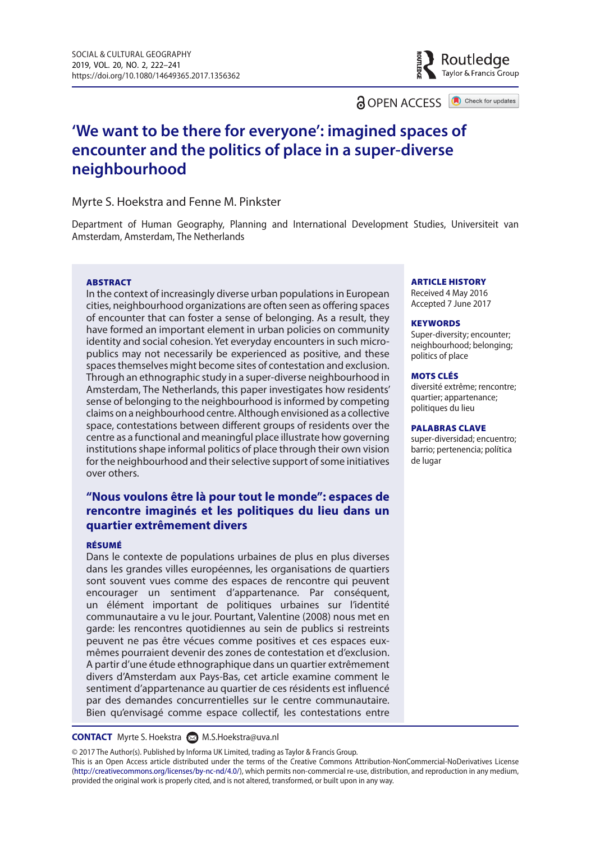a OPEN ACCESS

Check for updates

Routledge Taylor & Francis Group

# **'We want to be there for everyone': imagined spaces of encounter and the politics of place in a super-diverse neighbourhood**

#### Myrte S. Hoekstra and Fenne M. Pinkster

Department of Human Geography, Planning and International Development Studies, Universiteit van Amsterdam, Amsterdam, The Netherlands

#### ABSTRACT

In the context of increasingly diverse urban populations in European cities, neighbourhood organizations are often seen as offering spaces of encounter that can foster a sense of belonging. As a result, they have formed an important element in urban policies on community identity and social cohesion. Yet everyday encounters in such micropublics may not necessarily be experienced as positive, and these spaces themselves might become sites of contestation and exclusion. Through an ethnographic study in a super-diverse neighbourhood in Amsterdam, The Netherlands, this paper investigates how residents' sense of belonging to the neighbourhood is informed by competing claims on a neighbourhood centre. Although envisioned as a collective space, contestations between different groups of residents over the centre as a functional and meaningful place illustrate how governing institutions shape informal politics of place through their own vision for the neighbourhood and their selective support of some initiatives over others.

#### **"Nous voulons être là pour tout le monde": espaces de rencontre imaginés et les politiques du lieu dans un quartier extrêmement divers**

#### RÉSUMÉ

Dans le contexte de populations urbaines de plus en plus diverses dans les grandes villes européennes, les organisations de quartiers sont souvent vues comme des espaces de rencontre qui peuvent encourager un sentiment d'appartenance. Par conséquent, un élément important de politiques urbaines sur l'identité communautaire a vu le jour. Pourtant, Valentine (2008) nous met en garde: les rencontres quotidiennes au sein de publics si restreints peuvent ne pas être vécues comme positives et ces espaces euxmêmes pourraient devenir des zones de contestation et d'exclusion. A partir d'une étude ethnographique dans un quartier extrêmement divers d'Amsterdam aux Pays-Bas, cet article examine comment le sentiment d'appartenance au quartier de ces résidents est influencé par des demandes concurrentielles sur le centre communautaire. Bien qu'envisagé comme espace collectif, les contestations entre

**CONTACT** Myrte S. Hoekstra **M.S. Hoekstra@uva.nl** 

© 2017 The Author(s). Published by Informa UK Limited, trading as Taylor & Francis Group.

This is an Open Access article distributed under the terms of the Creative Commons Attribution-NonCommercial-NoDerivatives License (<http://creativecommons.org/licenses/by-nc-nd/4.0/>), which permits non-commercial re-use, distribution, and reproduction in any medium, provided the original work is properly cited, and is not altered, transformed, or built upon in any way.

#### ARTICLE HISTORY

Received 4 May 2016 Accepted 7 June 2017

#### **KEYWORDS**

Super-diversity; encounter; neighbourhood; belonging; politics of place

#### MOTS CLÉS

diversité extrême; rencontre; quartier; appartenance; politiques du lieu

#### PALABRAS CLAVE

super-diversidad; encuentro; barrio; pertenencia; política de lugar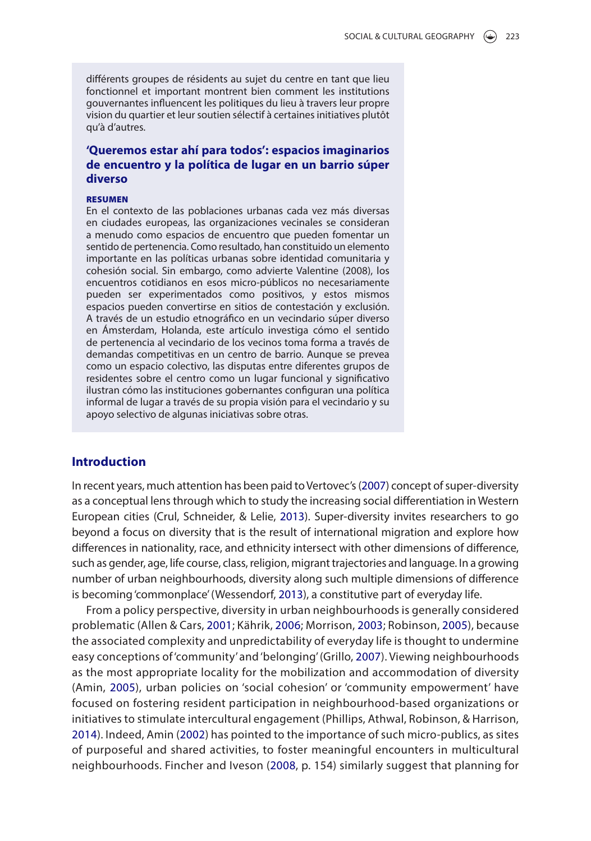différents groupes de résidents au sujet du centre en tant que lieu fonctionnel et important montrent bien comment les institutions gouvernantes influencent les politiques du lieu à travers leur propre vision du quartier et leur soutien sélectif à certaines initiatives plutôt qu'à d'autres.

#### **'Queremos estar ahí para todos': espacios imaginarios de encuentro y la política de lugar en un barrio súper diverso**

#### RESUMEN

En el contexto de las poblaciones urbanas cada vez más diversas en ciudades europeas, las organizaciones vecinales se consideran a menudo como espacios de encuentro que pueden fomentar un sentido de pertenencia. Como resultado, han constituido un elemento importante en las políticas urbanas sobre identidad comunitaria y cohesión social. Sin embargo, como advierte Valentine (2008), los encuentros cotidianos en esos micro-públicos no necesariamente pueden ser experimentados como positivos, y estos mismos espacios pueden convertirse en sitios de contestación y exclusión. A través de un estudio etnográfico en un vecindario súper diverso en Ámsterdam, Holanda, este artículo investiga cómo el sentido de pertenencia al vecindario de los vecinos toma forma a través de demandas competitivas en un centro de barrio. Aunque se prevea como un espacio colectivo, las disputas entre diferentes grupos de residentes sobre el centro como un lugar funcional y significativo ilustran cómo las instituciones gobernantes configuran una política informal de lugar a través de su propia visión para el vecindario y su apoyo selectivo de algunas iniciativas sobre otras.

## **Introduction**

<span id="page-2-10"></span><span id="page-2-3"></span>In recent years, much attention has been paid to Vertovec's ([2007](#page-20-0)) concept of super-diversity as a conceptual lens through which to study the increasing social differentiation in Western European cities (Crul, Schneider, & Lelie, [2013](#page-18-0)). Super-diversity invites researchers to go beyond a focus on diversity that is the result of international migration and explore how differences in nationality, race, and ethnicity intersect with other dimensions of difference, such as gender, age, life course, class, religion, migrant trajectories and language. In a growing number of urban neighbourhoods, diversity along such multiple dimensions of difference is becoming 'commonplace' (Wessendorf, [2013](#page-20-1)), a constitutive part of everyday life.

<span id="page-2-11"></span><span id="page-2-9"></span><span id="page-2-8"></span><span id="page-2-7"></span><span id="page-2-6"></span><span id="page-2-5"></span><span id="page-2-4"></span><span id="page-2-2"></span><span id="page-2-1"></span><span id="page-2-0"></span>From a policy perspective, diversity in urban neighbourhoods is generally considered problematic (Allen & Cars, [2001;](#page-17-0) Kährik, [2006](#page-18-1); Morrison, [2003;](#page-19-0) Robinson, [2005](#page-19-1)), because the associated complexity and unpredictability of everyday life is thought to undermine easy conceptions of 'community' and 'belonging' (Grillo, [2007](#page-18-2)). Viewing neighbourhoods as the most appropriate locality for the mobilization and accommodation of diversity (Amin, [2005](#page-17-1)), urban policies on 'social cohesion' or 'community empowerment' have focused on fostering resident participation in neighbourhood-based organizations or initiatives to stimulate intercultural engagement (Phillips, Athwal, Robinson, & Harrison, [2014](#page-19-2)). Indeed, Amin [\(2002](#page-17-2)) has pointed to the importance of such micro-publics, as sites of purposeful and shared activities, to foster meaningful encounters in multicultural neighbourhoods. Fincher and Iveson ([2008,](#page-18-3) p. 154) similarly suggest that planning for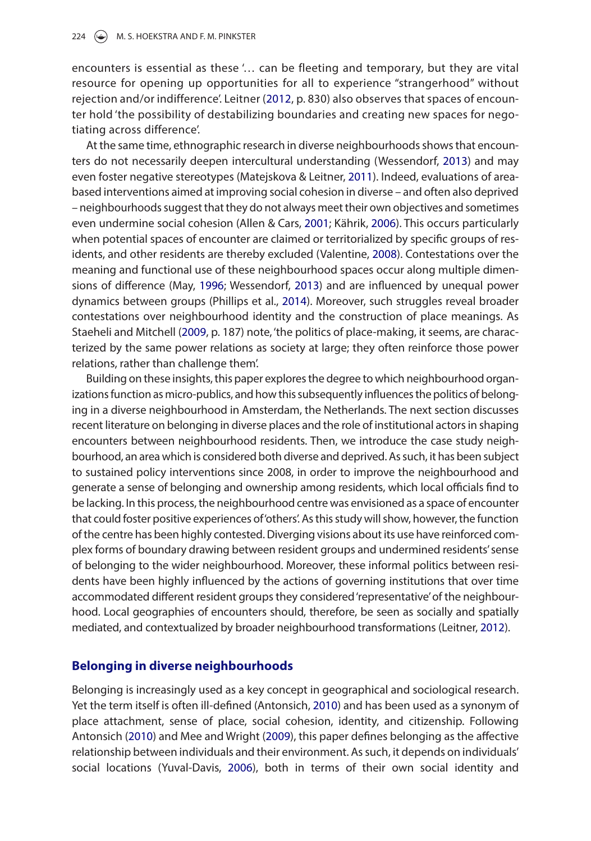<span id="page-3-1"></span>encounters is essential as these '… can be fleeting and temporary, but they are vital resource for opening up opportunities for all to experience "strangerhood" without rejection and/or indifference'. Leitner [\(2012](#page-18-4), p. 830) also observes that spaces of encounter hold 'the possibility of destabilizing boundaries and creating new spaces for negotiating across difference'.

<span id="page-3-6"></span><span id="page-3-2"></span>At the same time, ethnographic research in diverse neighbourhoods shows that encounters do not necessarily deepen intercultural understanding (Wessendorf, [2013](#page-20-1)) and may even foster negative stereotypes (Matejskova & Leitner, [2011](#page-19-3)). Indeed, evaluations of areabased interventions aimed at improving social cohesion in diverse – and often also deprived – neighbourhoods suggest that they do not always meet their own objectives and sometimes even undermine social cohesion (Allen & Cars, [2001;](#page-17-0) Kährik, [2006\)](#page-18-1). This occurs particularly when potential spaces of encounter are claimed or territorialized by specific groups of residents, and other residents are thereby excluded (Valentine, [2008](#page-20-2)). Contestations over the meaning and functional use of these neighbourhood spaces occur along multiple dimensions of difference (May, [1996;](#page-19-4) Wessendorf, [2013\)](#page-20-1) and are influenced by unequal power dynamics between groups (Phillips et al., [2014](#page-19-2)). Moreover, such struggles reveal broader contestations over neighbourhood identity and the construction of place meanings. As Staeheli and Mitchell ([2009](#page-19-5), p. 187) note, 'the politics of place-making, it seems, are characterized by the same power relations as society at large; they often reinforce those power relations, rather than challenge them'.

<span id="page-3-5"></span><span id="page-3-3"></span>Building on these insights, this paper explores the degree to which neighbourhood organizations function as micro-publics, and how this subsequently influences the politics of belonging in a diverse neighbourhood in Amsterdam, the Netherlands. The next section discusses recent literature on belonging in diverse places and the role of institutional actors in shaping encounters between neighbourhood residents. Then, we introduce the case study neighbourhood, an area which is considered both diverse and deprived. As such, it has been subject to sustained policy interventions since 2008, in order to improve the neighbourhood and generate a sense of belonging and ownership among residents, which local officials find to be lacking. In this process, the neighbourhood centre was envisioned as a space of encounter that could foster positive experiences of 'others'. As this study will show, however, the function of the centre has been highly contested. Diverging visions about its use have reinforced complex forms of boundary drawing between resident groups and undermined residents' sense of belonging to the wider neighbourhood. Moreover, these informal politics between residents have been highly influenced by the actions of governing institutions that over time accommodated different resident groups they considered 'representative' of the neighbourhood. Local geographies of encounters should, therefore, be seen as socially and spatially mediated, and contextualized by broader neighbourhood transformations (Leitner, [2012](#page-18-4)).

#### **Belonging in diverse neighbourhoods**

<span id="page-3-7"></span><span id="page-3-4"></span><span id="page-3-0"></span>Belonging is increasingly used as a key concept in geographical and sociological research. Yet the term itself is often ill-defined (Antonsich, [2010\)](#page-17-3) and has been used as a synonym of place attachment, sense of place, social cohesion, identity, and citizenship. Following Antonsich [\(2010\)](#page-17-3) and Mee and Wright ([2009](#page-19-6)), this paper defines belonging as the affective relationship between individuals and their environment. As such, it depends on individuals' social locations (Yuval-Davis, [2006\)](#page-20-3), both in terms of their own social identity and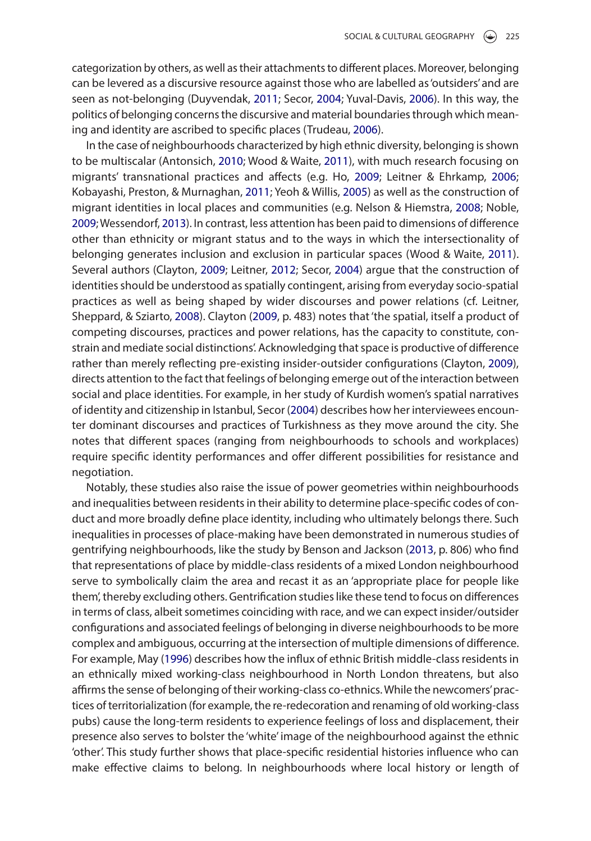<span id="page-4-9"></span><span id="page-4-2"></span>categorization by others, as well as their attachments to different places. Moreover, belonging can be levered as a discursive resource against those who are labelled as 'outsiders' and are seen as not-belonging (Duyvendak, [2011](#page-18-5); Secor, [2004;](#page-19-7) Yuval-Davis, [2006](#page-20-3)). In this way, the politics of belonging concerns the discursive and material boundaries through which meaning and identity are ascribed to specific places (Trudeau, [2006](#page-19-8)).

<span id="page-4-12"></span><span id="page-4-11"></span><span id="page-4-10"></span><span id="page-4-8"></span><span id="page-4-7"></span><span id="page-4-6"></span><span id="page-4-5"></span><span id="page-4-4"></span><span id="page-4-3"></span><span id="page-4-1"></span>In the case of neighbourhoods characterized by high ethnic diversity, belonging is shown to be multiscalar (Antonsich, [2010](#page-17-3); Wood & Waite, [2011](#page-20-4)), with much research focusing on migrants' transnational practices and affects (e.g. Ho, [2009;](#page-18-6) Leitner & Ehrkamp, [2006](#page-18-7); Kobayashi, Preston, & Murnaghan, [2011;](#page-18-8) Yeoh & Willis, [2005\)](#page-20-5) as well as the construction of migrant identities in local places and communities (e.g. Nelson & Hiemstra, [2008](#page-19-9); Noble, [2009](#page-19-10); Wessendorf, [2013](#page-20-1)). In contrast, less attention has been paid to dimensions of difference other than ethnicity or migrant status and to the ways in which the intersectionality of belonging generates inclusion and exclusion in particular spaces (Wood & Waite, [2011](#page-20-4)). Several authors (Clayton, [2009](#page-18-9); Leitner, [2012](#page-18-4); Secor, [2004](#page-19-7)) argue that the construction of identities should be understood as spatially contingent, arising from everyday socio-spatial practices as well as being shaped by wider discourses and power relations (cf. Leitner, Sheppard, & Sziarto, [2008\)](#page-18-10). Clayton ([2009](#page-18-9), p. 483) notes that 'the spatial, itself a product of competing discourses, practices and power relations, has the capacity to constitute, constrain and mediate social distinctions'. Acknowledging that space is productive of difference rather than merely reflecting pre-existing insider-outsider configurations (Clayton, [2009](#page-18-9)), directs attention to the fact that feelings of belonging emerge out of the interaction between social and place identities. For example, in her study of Kurdish women's spatial narratives of identity and citizenship in Istanbul, Secor ([2004\)](#page-19-7) describes how her interviewees encounter dominant discourses and practices of Turkishness as they move around the city. She notes that different spaces (ranging from neighbourhoods to schools and workplaces) require specific identity performances and offer different possibilities for resistance and negotiation.

<span id="page-4-0"></span>Notably, these studies also raise the issue of power geometries within neighbourhoods and inequalities between residents in their ability to determine place-specific codes of conduct and more broadly define place identity, including who ultimately belongs there. Such inequalities in processes of place-making have been demonstrated in numerous studies of gentrifying neighbourhoods, like the study by Benson and Jackson ([2013](#page-18-11), p. 806) who find that representations of place by middle-class residents of a mixed London neighbourhood serve to symbolically claim the area and recast it as an 'appropriate place for people like them', thereby excluding others. Gentrification studies like these tend to focus on differences in terms of class, albeit sometimes coinciding with race, and we can expect insider/outsider configurations and associated feelings of belonging in diverse neighbourhoods to be more complex and ambiguous, occurring at the intersection of multiple dimensions of difference. For example, May [\(1996\)](#page-19-4) describes how the influx of ethnic British middle-class residents in an ethnically mixed working-class neighbourhood in North London threatens, but also affirms the sense of belonging of their working-class co-ethnics. While the newcomers' practices of territorialization (for example, the re-redecoration and renaming of old working-class pubs) cause the long-term residents to experience feelings of loss and displacement, their presence also serves to bolster the 'white' image of the neighbourhood against the ethnic 'other'. This study further shows that place-specific residential histories influence who can make effective claims to belong. In neighbourhoods where local history or length of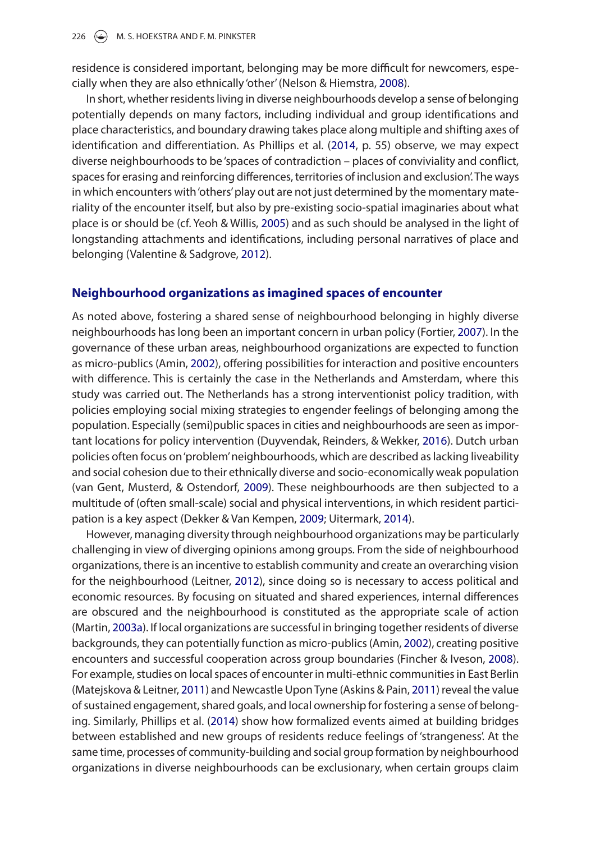residence is considered important, belonging may be more difficult for newcomers, especially when they are also ethnically 'other' (Nelson & Hiemstra, [2008](#page-19-9)).

In short, whether residents living in diverse neighbourhoods develop a sense of belonging potentially depends on many factors, including individual and group identifications and place characteristics, and boundary drawing takes place along multiple and shifting axes of identification and differentiation. As Phillips et al. [\(2014,](#page-19-2) p. 55) observe, we may expect diverse neighbourhoods to be 'spaces of contradiction – places of conviviality and conflict, spaces for erasing and reinforcing differences, territories of inclusion and exclusion'. The ways in which encounters with 'others' play out are not just determined by the momentary materiality of the encounter itself, but also by pre-existing socio-spatial imaginaries about what place is or should be (cf. Yeoh & Willis, [2005\)](#page-20-5) and as such should be analysed in the light of longstanding attachments and identifications, including personal narratives of place and belonging (Valentine & Sadgrove, [2012\)](#page-20-6).

#### <span id="page-5-7"></span>**Neighbourhood organizations as imagined spaces of encounter**

<span id="page-5-3"></span>As noted above, fostering a shared sense of neighbourhood belonging in highly diverse neighbourhoods has long been an important concern in urban policy (Fortier, [2007\)](#page-18-12). In the governance of these urban areas, neighbourhood organizations are expected to function as micro-publics (Amin, [2002\)](#page-17-2), offering possibilities for interaction and positive encounters with difference. This is certainly the case in the Netherlands and Amsterdam, where this study was carried out. The Netherlands has a strong interventionist policy tradition, with policies employing social mixing strategies to engender feelings of belonging among the population. Especially (semi)public spaces in cities and neighbourhoods are seen as important locations for policy intervention (Duyvendak, Reinders, & Wekker, [2016](#page-18-13)). Dutch urban policies often focus on 'problem' neighbourhoods, which are described as lacking liveability and social cohesion due to their ethnically diverse and socio-economically weak population (van Gent, Musterd, & Ostendorf, [2009\)](#page-20-7). These neighbourhoods are then subjected to a multitude of (often small-scale) social and physical interventions, in which resident participation is a key aspect (Dekker & Van Kempen, [2009](#page-18-14); Uitermark, [2014](#page-19-11)).

<span id="page-5-6"></span><span id="page-5-5"></span><span id="page-5-4"></span><span id="page-5-2"></span><span id="page-5-1"></span><span id="page-5-0"></span>However, managing diversity through neighbourhood organizations may be particularly challenging in view of diverging opinions among groups. From the side of neighbourhood organizations, there is an incentive to establish community and create an overarching vision for the neighbourhood (Leitner, [2012\)](#page-18-4), since doing so is necessary to access political and economic resources. By focusing on situated and shared experiences, internal differences are obscured and the neighbourhood is constituted as the appropriate scale of action (Martin, [2003a](#page-19-12)). If local organizations are successful in bringing together residents of diverse backgrounds, they can potentially function as micro-publics (Amin, [2002\)](#page-17-2), creating positive encounters and successful cooperation across group boundaries (Fincher & Iveson, [2008](#page-18-3)). For example, studies on local spaces of encounter in multi-ethnic communities in East Berlin (Matejskova & Leitner, [2011\)](#page-19-3) and Newcastle Upon Tyne (Askins & Pain, [2011](#page-18-15)) reveal the value of sustained engagement, shared goals, and local ownership for fostering a sense of belonging. Similarly, Phillips et al. ([2014](#page-19-2)) show how formalized events aimed at building bridges between established and new groups of residents reduce feelings of 'strangeness'. At the same time, processes of community-building and social group formation by neighbourhood organizations in diverse neighbourhoods can be exclusionary, when certain groups claim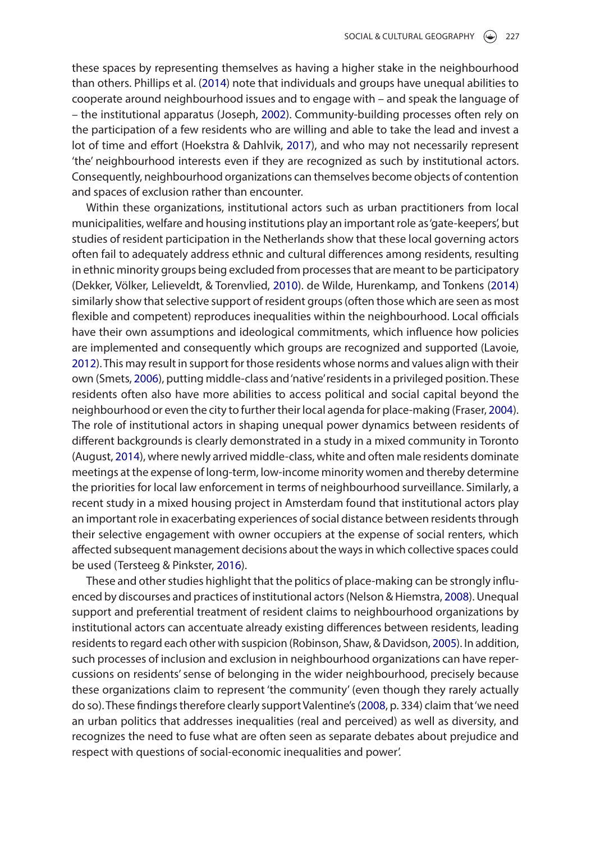<span id="page-6-5"></span>these spaces by representing themselves as having a higher stake in the neighbourhood than others. Phillips et al. ([2014](#page-19-2)) note that individuals and groups have unequal abilities to cooperate around neighbourhood issues and to engage with – and speak the language of – the institutional apparatus (Joseph, [2002\)](#page-18-16). Community-building processes often rely on the participation of a few residents who are willing and able to take the lead and invest a lot of time and effort (Hoekstra & Dahlvik, [2017\)](#page-18-17), and who may not necessarily represent 'the' neighbourhood interests even if they are recognized as such by institutional actors. Consequently, neighbourhood organizations can themselves become objects of contention and spaces of exclusion rather than encounter.

<span id="page-6-8"></span><span id="page-6-6"></span><span id="page-6-4"></span><span id="page-6-2"></span><span id="page-6-1"></span>Within these organizations, institutional actors such as urban practitioners from local municipalities, welfare and housing institutions play an important role as 'gate-keepers', but studies of resident participation in the Netherlands show that these local governing actors often fail to adequately address ethnic and cultural differences among residents, resulting in ethnic minority groups being excluded from processes that are meant to be participatory (Dekker, Völker, Lelieveldt, & Torenvlied, [2010\)](#page-18-18). de Wilde, Hurenkamp, and Tonkens ([2014](#page-18-19)) similarly show that selective support of resident groups (often those which are seen as most flexible and competent) reproduces inequalities within the neighbourhood. Local officials have their own assumptions and ideological commitments, which influence how policies are implemented and consequently which groups are recognized and supported (Lavoie, [2012](#page-18-20)). This may result in support for those residents whose norms and values align with their own (Smets, [2006](#page-19-13)), putting middle-class and 'native' residents in a privileged position. These residents often also have more abilities to access political and social capital beyond the neighbourhood or even the city to further their local agenda for place-making (Fraser, [2004](#page-18-21)). The role of institutional actors in shaping unequal power dynamics between residents of different backgrounds is clearly demonstrated in a study in a mixed community in Toronto (August, [2014\)](#page-18-22), where newly arrived middle-class, white and often male residents dominate meetings at the expense of long-term, low-income minority women and thereby determine the priorities for local law enforcement in terms of neighbourhood surveillance. Similarly, a recent study in a mixed housing project in Amsterdam found that institutional actors play an important role in exacerbating experiences of social distance between residents through their selective engagement with owner occupiers at the expense of social renters, which affected subsequent management decisions about the ways in which collective spaces could be used (Tersteeg & Pinkster, [2016](#page-19-14)).

<span id="page-6-9"></span><span id="page-6-7"></span><span id="page-6-3"></span><span id="page-6-0"></span>These and other studies highlight that the politics of place-making can be strongly influenced by discourses and practices of institutional actors (Nelson & Hiemstra, [2008\)](#page-19-9). Unequal support and preferential treatment of resident claims to neighbourhood organizations by institutional actors can accentuate already existing differences between residents, leading residents to regard each other with suspicion (Robinson, Shaw, & Davidson, [2005](#page-19-15)). In addition, such processes of inclusion and exclusion in neighbourhood organizations can have repercussions on residents' sense of belonging in the wider neighbourhood, precisely because these organizations claim to represent 'the community' (even though they rarely actually do so). These findings therefore clearly support Valentine's [\(2008,](#page-20-2) p. 334) claim that 'we need an urban politics that addresses inequalities (real and perceived) as well as diversity, and recognizes the need to fuse what are often seen as separate debates about prejudice and respect with questions of social-economic inequalities and power'.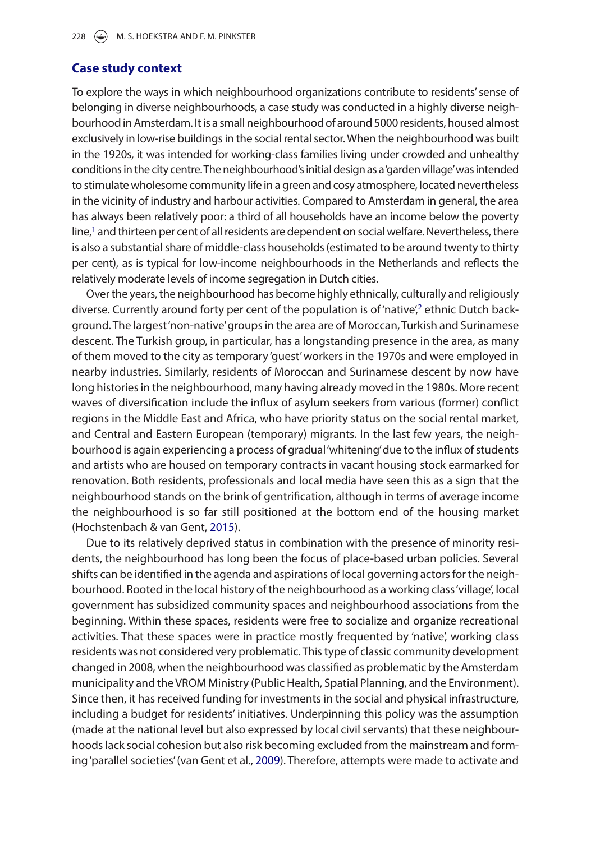#### **Case study context**

To explore the ways in which neighbourhood organizations contribute to residents' sense of belonging in diverse neighbourhoods, a case study was conducted in a highly diverse neighbourhood in Amsterdam. It is a small neighbourhood of around 5000 residents, housed almost exclusively in low-rise buildings in the social rental sector. When the neighbourhood was built in the 1920s, it was intended for working-class families living under crowded and unhealthy conditions in the city centre. The neighbourhood's initial design as a 'garden village' was intended to stimulate wholesome community life in a green and cosy atmosphere, located nevertheless in the vicinity of industry and harbour activities. Compared to Amsterdam in general, the area has always been relatively poor: a third of all households have an income below the poverty line,<sup>[1](#page-17-4)</sup> and thirteen per cent of all residents are dependent on social welfare. Nevertheless, there is also a substantial share of middle-class households (estimated to be around twenty to thirty per cent), as is typical for low-income neighbourhoods in the Netherlands and reflects the relatively moderate levels of income segregation in Dutch cities.

Over the years, the neighbourhood has become highly ethnically, culturally and religiously diverse. Currently around forty per cent of the population is of 'native',<sup>[2](#page-17-5)</sup> ethnic Dutch background. The largest 'non-native' groups in the area are of Moroccan, Turkish and Surinamese descent. The Turkish group, in particular, has a longstanding presence in the area, as many of them moved to the city as temporary 'guest' workers in the 1970s and were employed in nearby industries. Similarly, residents of Moroccan and Surinamese descent by now have long histories in the neighbourhood, many having already moved in the 1980s. More recent waves of diversification include the influx of asylum seekers from various (former) conflict regions in the Middle East and Africa, who have priority status on the social rental market, and Central and Eastern European (temporary) migrants. In the last few years, the neighbourhood is again experiencing a process of gradual 'whitening' due to the influx of students and artists who are housed on temporary contracts in vacant housing stock earmarked for renovation. Both residents, professionals and local media have seen this as a sign that the neighbourhood stands on the brink of gentrification, although in terms of average income the neighbourhood is so far still positioned at the bottom end of the housing market (Hochstenbach & van Gent, [2015\)](#page-18-23).

<span id="page-7-0"></span>Due to its relatively deprived status in combination with the presence of minority residents, the neighbourhood has long been the focus of place-based urban policies. Several shifts can be identified in the agenda and aspirations of local governing actors for the neighbourhood. Rooted in the local history of the neighbourhood as a working class 'village', local government has subsidized community spaces and neighbourhood associations from the beginning. Within these spaces, residents were free to socialize and organize recreational activities. That these spaces were in practice mostly frequented by 'native', working class residents was not considered very problematic. This type of classic community development changed in 2008, when the neighbourhood was classified as problematic by the Amsterdam municipality and the VROM Ministry (Public Health, Spatial Planning, and the Environment). Since then, it has received funding for investments in the social and physical infrastructure, including a budget for residents' initiatives. Underpinning this policy was the assumption (made at the national level but also expressed by local civil servants) that these neighbourhoods lack social cohesion but also risk becoming excluded from the mainstream and forming 'parallel societies' (van Gent et al., [2009\)](#page-20-7). Therefore, attempts were made to activate and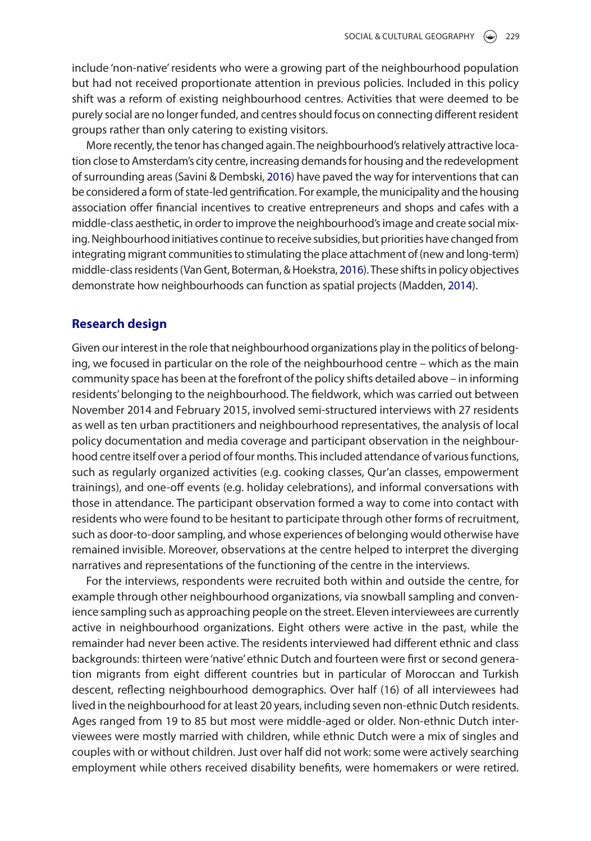include 'non-native' residents who were a growing part of the neighbourhood population but had not received proportionate attention in previous policies. Included in this policy shift was a reform of existing neighbourhood centres. Activities that were deemed to be purely social are no longer funded, and centres should focus on connecting different resident groups rather than only catering to existing visitors.

<span id="page-8-1"></span>More recently, the tenor has changed again. The neighbourhood's relatively attractive location close to Amsterdam's city centre, increasing demands for housing and the redevelopment of surrounding areas (Savini & Dembski, [2016](#page-19-16)) have paved the way for interventions that can be considered a form of state-led gentrification. For example, the municipality and the housing association offer financial incentives to creative entrepreneurs and shops and cafes with a middle-class aesthetic, in order to improve the neighbourhood's image and create social mixing. Neighbourhood initiatives continue to receive subsidies, but priorities have changed from integrating migrant communities to stimulating the place attachment of (new and long-term) middle-class residents (Van Gent, Boterman, & Hoekstra, [2016](#page-19-17)). These shifts in policy objectives demonstrate how neighbourhoods can function as spatial projects (Madden, [2014](#page-19-18)).

## <span id="page-8-2"></span><span id="page-8-0"></span>**Research design**

Given our interest in the role that neighbourhood organizations play in the politics of belonging, we focused in particular on the role of the neighbourhood centre – which as the main community space has been at the forefront of the policy shifts detailed above – in informing residents' belonging to the neighbourhood. The fieldwork, which was carried out between November 2014 and February 2015, involved semi-structured interviews with 27 residents as well as ten urban practitioners and neighbourhood representatives, the analysis of local policy documentation and media coverage and participant observation in the neighbourhood centre itself over a period of four months. This included attendance of various functions, such as regularly organized activities (e.g. cooking classes, Qur'an classes, empowerment trainings), and one-off events (e.g. holiday celebrations), and informal conversations with those in attendance. The participant observation formed a way to come into contact with residents who were found to be hesitant to participate through other forms of recruitment, such as door-to-door sampling, and whose experiences of belonging would otherwise have remained invisible. Moreover, observations at the centre helped to interpret the diverging narratives and representations of the functioning of the centre in the interviews.

For the interviews, respondents were recruited both within and outside the centre, for example through other neighbourhood organizations, via snowball sampling and convenience sampling such as approaching people on the street. Eleven interviewees are currently active in neighbourhood organizations. Eight others were active in the past, while the remainder had never been active. The residents interviewed had different ethnic and class backgrounds: thirteen were 'native' ethnic Dutch and fourteen were first or second generation migrants from eight different countries but in particular of Moroccan and Turkish descent, reflecting neighbourhood demographics. Over half (16) of all interviewees had lived in the neighbourhood for at least 20 years, including seven non-ethnic Dutch residents. Ages ranged from 19 to 85 but most were middle-aged or older. Non-ethnic Dutch interviewees were mostly married with children, while ethnic Dutch were a mix of singles and couples with or without children. Just over half did not work: some were actively searching employment while others received disability benefits, were homemakers or were retired.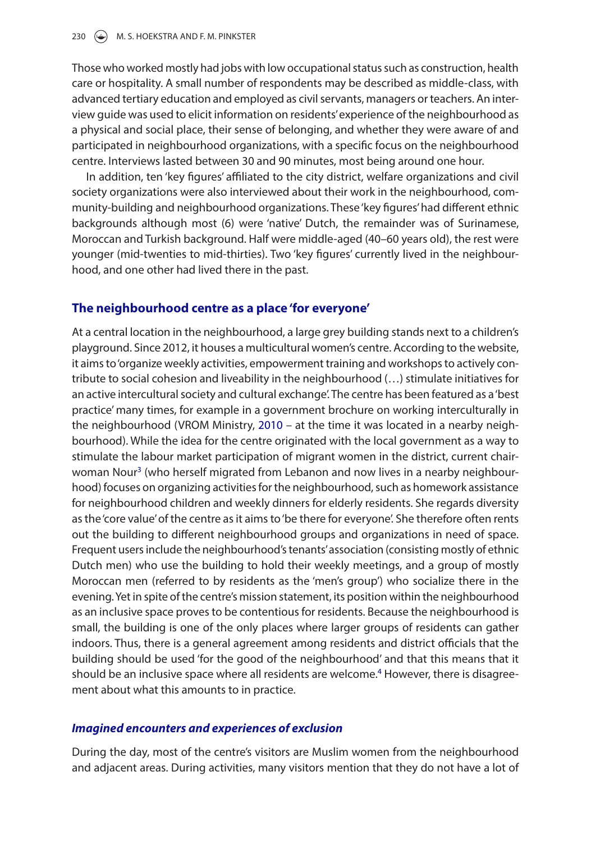Those who worked mostly had jobs with low occupational status such as construction, health care or hospitality. A small number of respondents may be described as middle-class, with advanced tertiary education and employed as civil servants, managers or teachers. An interview guide was used to elicit information on residents' experience of the neighbourhood as a physical and social place, their sense of belonging, and whether they were aware of and participated in neighbourhood organizations, with a specific focus on the neighbourhood centre. Interviews lasted between 30 and 90 minutes, most being around one hour.

In addition, ten 'key figures' affiliated to the city district, welfare organizations and civil society organizations were also interviewed about their work in the neighbourhood, community-building and neighbourhood organizations. These 'key figures' had different ethnic backgrounds although most (6) were 'native' Dutch, the remainder was of Surinamese, Moroccan and Turkish background. Half were middle-aged (40–60 years old), the rest were younger (mid-twenties to mid-thirties). Two 'key figures' currently lived in the neighbourhood, and one other had lived there in the past.

## **The neighbourhood centre as a place 'for everyone'**

<span id="page-9-0"></span>At a central location in the neighbourhood, a large grey building stands next to a children's playground. Since 2012, it houses a multicultural women's centre. According to the website, it aims to 'organize weekly activities, empowerment training and workshops to actively contribute to social cohesion and liveability in the neighbourhood (…) stimulate initiatives for an active intercultural society and cultural exchange'. The centre has been featured as a 'best practice' many times, for example in a government brochure on working interculturally in the neighbourhood (VROM Ministry, [2010](#page-20-8) – at the time it was located in a nearby neighbourhood). While the idea for the centre originated with the local government as a way to stimulate the labour market participation of migrant women in the district, current chair-woman Nour<sup>[3](#page-17-6)</sup> (who herself migrated from Lebanon and now lives in a nearby neighbourhood) focuses on organizing activities for the neighbourhood, such as homework assistance for neighbourhood children and weekly dinners for elderly residents. She regards diversity as the 'core value' of the centre as it aims to 'be there for everyone'. She therefore often rents out the building to different neighbourhood groups and organizations in need of space. Frequent users include the neighbourhood's tenants' association (consisting mostly of ethnic Dutch men) who use the building to hold their weekly meetings, and a group of mostly Moroccan men (referred to by residents as the 'men's group') who socialize there in the evening. Yet in spite of the centre's mission statement, its position within the neighbourhood as an inclusive space proves to be contentious for residents. Because the neighbourhood is small, the building is one of the only places where larger groups of residents can gather indoors. Thus, there is a general agreement among residents and district officials that the building should be used 'for the good of the neighbourhood' and that this means that it should be an inclusive space where all residents are welcome.<sup>4</sup> However, there is disagreement about what this amounts to in practice.

## *Imagined encounters and experiences of exclusion*

During the day, most of the centre's visitors are Muslim women from the neighbourhood and adjacent areas. During activities, many visitors mention that they do not have a lot of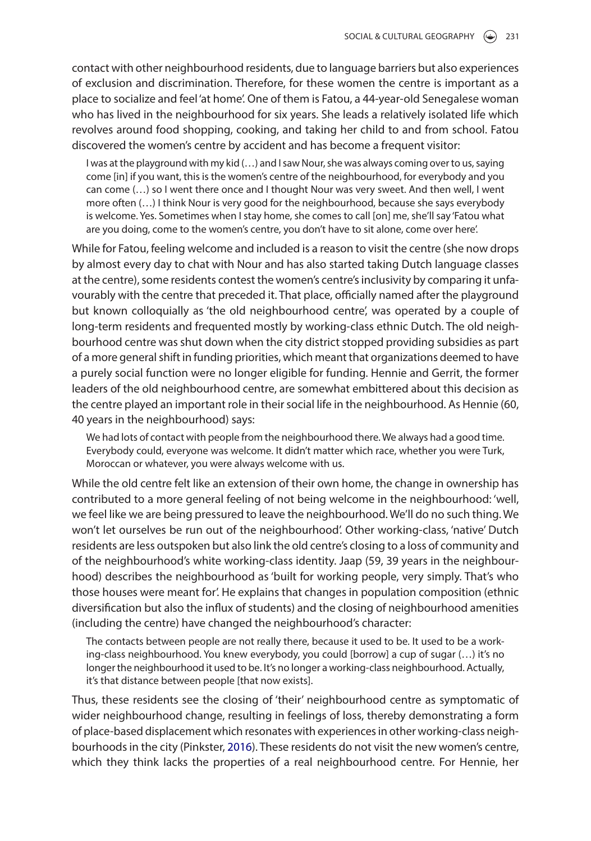contact with other neighbourhood residents, due to language barriers but also experiences of exclusion and discrimination. Therefore, for these women the centre is important as a place to socialize and feel 'at home'. One of them is Fatou, a 44-year-old Senegalese woman who has lived in the neighbourhood for six years. She leads a relatively isolated life which revolves around food shopping, cooking, and taking her child to and from school. Fatou discovered the women's centre by accident and has become a frequent visitor:

I was at the playground with my kid (…) and I saw Nour, she was always coming over to us, saying come [in] if you want, this is the women's centre of the neighbourhood, for everybody and you can come (…) so I went there once and I thought Nour was very sweet. And then well, I went more often (…) I think Nour is very good for the neighbourhood, because she says everybody is welcome. Yes. Sometimes when I stay home, she comes to call [on] me, she'll say 'Fatou what are you doing, come to the women's centre, you don't have to sit alone, come over here'.

While for Fatou, feeling welcome and included is a reason to visit the centre (she now drops by almost every day to chat with Nour and has also started taking Dutch language classes at the centre), some residents contest the women's centre's inclusivity by comparing it unfavourably with the centre that preceded it. That place, officially named after the playground but known colloquially as 'the old neighbourhood centre', was operated by a couple of long-term residents and frequented mostly by working-class ethnic Dutch. The old neighbourhood centre was shut down when the city district stopped providing subsidies as part of a more general shift in funding priorities, which meant that organizations deemed to have a purely social function were no longer eligible for funding. Hennie and Gerrit, the former leaders of the old neighbourhood centre, are somewhat embittered about this decision as the centre played an important role in their social life in the neighbourhood. As Hennie (60, 40 years in the neighbourhood) says:

We had lots of contact with people from the neighbourhood there. We always had a good time. Everybody could, everyone was welcome. It didn't matter which race, whether you were Turk, Moroccan or whatever, you were always welcome with us.

While the old centre felt like an extension of their own home, the change in ownership has contributed to a more general feeling of not being welcome in the neighbourhood: 'well, we feel like we are being pressured to leave the neighbourhood. We'll do no such thing. We won't let ourselves be run out of the neighbourhood'. Other working-class, 'native' Dutch residents are less outspoken but also link the old centre's closing to a loss of community and of the neighbourhood's white working-class identity. Jaap (59, 39 years in the neighbourhood) describes the neighbourhood as 'built for working people, very simply. That's who those houses were meant for'. He explains that changes in population composition (ethnic diversification but also the influx of students) and the closing of neighbourhood amenities (including the centre) have changed the neighbourhood's character:

<span id="page-10-0"></span>The contacts between people are not really there, because it used to be. It used to be a working-class neighbourhood. You knew everybody, you could [borrow] a cup of sugar (…) it's no longer the neighbourhood it used to be. It's no longer a working-class neighbourhood. Actually, it's that distance between people [that now exists].

Thus, these residents see the closing of 'their' neighbourhood centre as symptomatic of wider neighbourhood change, resulting in feelings of loss, thereby demonstrating a form of place-based displacement which resonates with experiences in other working-class neighbourhoods in the city (Pinkster, [2016](#page-19-19)). These residents do not visit the new women's centre, which they think lacks the properties of a real neighbourhood centre. For Hennie, her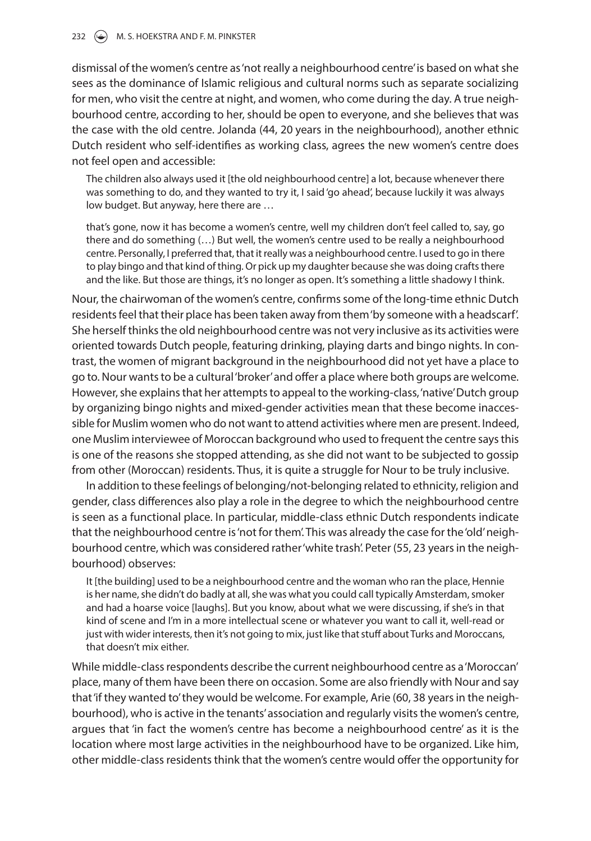dismissal of the women's centre as 'not really a neighbourhood centre' is based on what she sees as the dominance of Islamic religious and cultural norms such as separate socializing for men, who visit the centre at night, and women, who come during the day. A true neighbourhood centre, according to her, should be open to everyone, and she believes that was the case with the old centre. Jolanda (44, 20 years in the neighbourhood), another ethnic Dutch resident who self-identifies as working class, agrees the new women's centre does not feel open and accessible:

The children also always used it [the old neighbourhood centre] a lot, because whenever there was something to do, and they wanted to try it, I said 'go ahead', because luckily it was always low budget. But anyway, here there are …

that's gone, now it has become a women's centre, well my children don't feel called to, say, go there and do something (…) But well, the women's centre used to be really a neighbourhood centre. Personally, I preferred that, that it really was a neighbourhood centre. I used to go in there to play bingo and that kind of thing. Or pick up my daughter because she was doing crafts there and the like. But those are things, it's no longer as open. It's something a little shadowy I think.

Nour, the chairwoman of the women's centre, confirms some of the long-time ethnic Dutch residents feel that their place has been taken away from them 'by someone with a headscarf'. She herself thinks the old neighbourhood centre was not very inclusive as its activities were oriented towards Dutch people, featuring drinking, playing darts and bingo nights. In contrast, the women of migrant background in the neighbourhood did not yet have a place to go to. Nour wants to be a cultural 'broker' and offer a place where both groups are welcome. However, she explains that her attempts to appeal to the working-class, 'native' Dutch group by organizing bingo nights and mixed-gender activities mean that these become inaccessible for Muslim women who do not want to attend activities where men are present. Indeed, one Muslim interviewee of Moroccan background who used to frequent the centre says this is one of the reasons she stopped attending, as she did not want to be subjected to gossip from other (Moroccan) residents. Thus, it is quite a struggle for Nour to be truly inclusive.

In addition to these feelings of belonging/not-belonging related to ethnicity, religion and gender, class differences also play a role in the degree to which the neighbourhood centre is seen as a functional place. In particular, middle-class ethnic Dutch respondents indicate that the neighbourhood centre is 'not for them'. This was already the case for the 'old' neighbourhood centre, which was considered rather 'white trash'. Peter (55, 23 years in the neighbourhood) observes:

It [the building] used to be a neighbourhood centre and the woman who ran the place, Hennie is her name, she didn't do badly at all, she was what you could call typically Amsterdam, smoker and had a hoarse voice [laughs]. But you know, about what we were discussing, if she's in that kind of scene and I'm in a more intellectual scene or whatever you want to call it, well-read or just with wider interests, then it's not going to mix, just like that stuff about Turks and Moroccans, that doesn't mix either.

While middle-class respondents describe the current neighbourhood centre as a 'Moroccan' place, many of them have been there on occasion. Some are also friendly with Nour and say that 'if they wanted to' they would be welcome. For example, Arie (60, 38 years in the neighbourhood), who is active in the tenants' association and regularly visits the women's centre, argues that 'in fact the women's centre has become a neighbourhood centre' as it is the location where most large activities in the neighbourhood have to be organized. Like him, other middle-class residents think that the women's centre would offer the opportunity for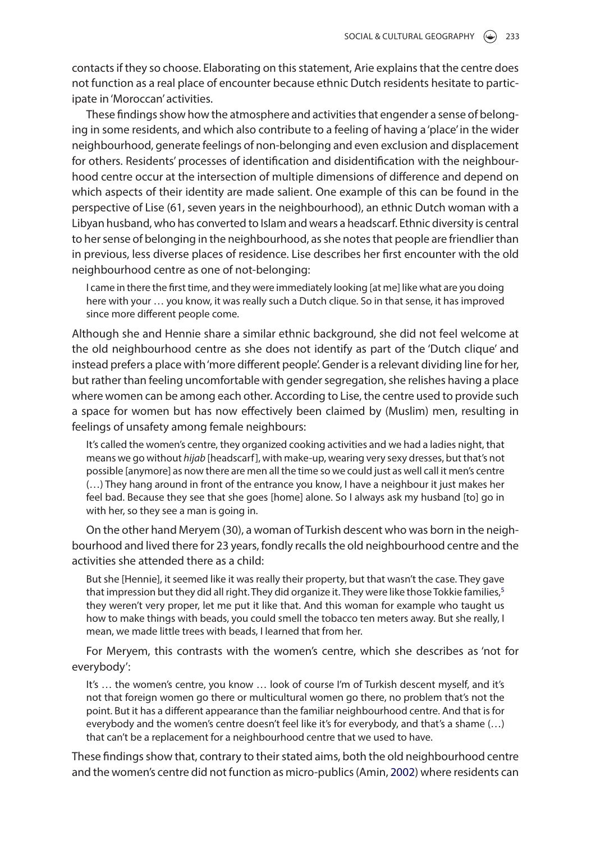contacts if they so choose. Elaborating on this statement, Arie explains that the centre does not function as a real place of encounter because ethnic Dutch residents hesitate to participate in 'Moroccan' activities.

These findings show how the atmosphere and activities that engender a sense of belonging in some residents, and which also contribute to a feeling of having a 'place' in the wider neighbourhood, generate feelings of non-belonging and even exclusion and displacement for others. Residents' processes of identification and disidentification with the neighbourhood centre occur at the intersection of multiple dimensions of difference and depend on which aspects of their identity are made salient. One example of this can be found in the perspective of Lise (61, seven years in the neighbourhood), an ethnic Dutch woman with a Libyan husband, who has converted to Islam and wears a headscarf. Ethnic diversity is central to her sense of belonging in the neighbourhood, as she notes that people are friendlier than in previous, less diverse places of residence. Lise describes her first encounter with the old neighbourhood centre as one of not-belonging:

I came in there the first time, and they were immediately looking [at me] like what are you doing here with your … you know, it was really such a Dutch clique. So in that sense, it has improved since more different people come.

Although she and Hennie share a similar ethnic background, she did not feel welcome at the old neighbourhood centre as she does not identify as part of the 'Dutch clique' and instead prefers a place with 'more different people'. Gender is a relevant dividing line for her, but rather than feeling uncomfortable with gender segregation, she relishes having a place where women can be among each other. According to Lise, the centre used to provide such a space for women but has now effectively been claimed by (Muslim) men, resulting in feelings of unsafety among female neighbours:

It's called the women's centre, they organized cooking activities and we had a ladies night, that means we go without *hijab* [headscarf], with make-up, wearing very sexy dresses, but that's not possible [anymore] as now there are men all the time so we could just as well call it men's centre (…) They hang around in front of the entrance you know, I have a neighbour it just makes her feel bad. Because they see that she goes [home] alone. So I always ask my husband [to] go in with her, so they see a man is going in.

On the other hand Meryem (30), a woman of Turkish descent who was born in the neighbourhood and lived there for 23 years, fondly recalls the old neighbourhood centre and the activities she attended there as a child:

But she [Hennie], it seemed like it was really their property, but that wasn't the case. They gave that impression but they did all right. They did organize it. They were like those Tokkie families,<sup>5</sup> they weren't very proper, let me put it like that. And this woman for example who taught us how to make things with beads, you could smell the tobacco ten meters away. But she really, I mean, we made little trees with beads, I learned that from her.

For Meryem, this contrasts with the women's centre, which she describes as 'not for everybody':

It's … the women's centre, you know … look of course I'm of Turkish descent myself, and it's not that foreign women go there or multicultural women go there, no problem that's not the point. But it has a different appearance than the familiar neighbourhood centre. And that is for everybody and the women's centre doesn't feel like it's for everybody, and that's a shame (…) that can't be a replacement for a neighbourhood centre that we used to have.

These findings show that, contrary to their stated aims, both the old neighbourhood centre and the women's centre did not function as micro-publics (Amin, [2002](#page-17-2)) where residents can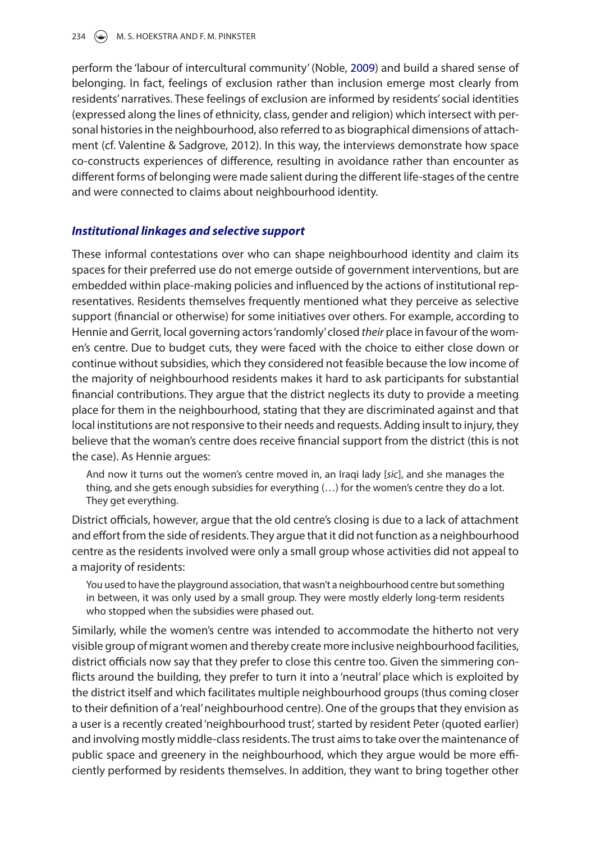perform the 'labour of intercultural community' (Noble, [2009](#page-19-10)) and build a shared sense of belonging. In fact, feelings of exclusion rather than inclusion emerge most clearly from residents' narratives. These feelings of exclusion are informed by residents' social identities (expressed along the lines of ethnicity, class, gender and religion) which intersect with personal histories in the neighbourhood, also referred to as biographical dimensions of attachment (cf. Valentine & Sadgrove, 2012). In this way, the interviews demonstrate how space co-constructs experiences of difference, resulting in avoidance rather than encounter as different forms of belonging were made salient during the different life-stages of the centre and were connected to claims about neighbourhood identity.

## *Institutional linkages and selective support*

These informal contestations over who can shape neighbourhood identity and claim its spaces for their preferred use do not emerge outside of government interventions, but are embedded within place-making policies and influenced by the actions of institutional representatives. Residents themselves frequently mentioned what they perceive as selective support (financial or otherwise) for some initiatives over others. For example, according to Hennie and Gerrit, local governing actors 'randomly' closed *their* place in favour of the women's centre. Due to budget cuts, they were faced with the choice to either close down or continue without subsidies, which they considered not feasible because the low income of the majority of neighbourhood residents makes it hard to ask participants for substantial financial contributions. They argue that the district neglects its duty to provide a meeting place for them in the neighbourhood, stating that they are discriminated against and that local institutions are not responsive to their needs and requests. Adding insult to injury, they believe that the woman's centre does receive financial support from the district (this is not the case). As Hennie argues:

And now it turns out the women's centre moved in, an Iraqi lady [*sic*], and she manages the thing, and she gets enough subsidies for everything (…) for the women's centre they do a lot. They get everything.

District officials, however, argue that the old centre's closing is due to a lack of attachment and effort from the side of residents. They argue that it did not function as a neighbourhood centre as the residents involved were only a small group whose activities did not appeal to a majority of residents:

You used to have the playground association, that wasn't a neighbourhood centre but something in between, it was only used by a small group. They were mostly elderly long-term residents who stopped when the subsidies were phased out.

Similarly, while the women's centre was intended to accommodate the hitherto not very visible group of migrant women and thereby create more inclusive neighbourhood facilities, district officials now say that they prefer to close this centre too. Given the simmering conflicts around the building, they prefer to turn it into a 'neutral' place which is exploited by the district itself and which facilitates multiple neighbourhood groups (thus coming closer to their definition of a 'real' neighbourhood centre). One of the groups that they envision as a user is a recently created 'neighbourhood trust', started by resident Peter (quoted earlier) and involving mostly middle-class residents. The trust aims to take over the maintenance of public space and greenery in the neighbourhood, which they argue would be more efficiently performed by residents themselves. In addition, they want to bring together other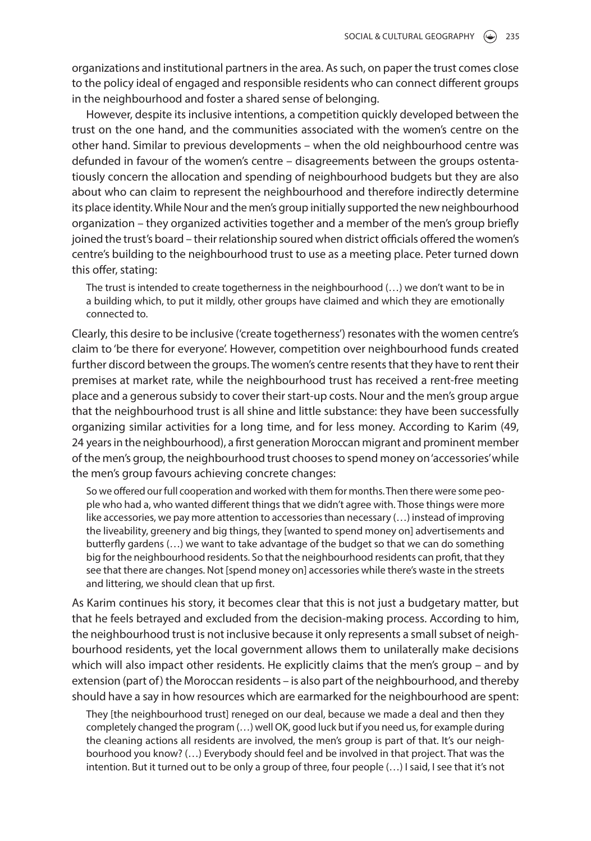organizations and institutional partners in the area. As such, on paper the trust comes close to the policy ideal of engaged and responsible residents who can connect different groups in the neighbourhood and foster a shared sense of belonging.

However, despite its inclusive intentions, a competition quickly developed between the trust on the one hand, and the communities associated with the women's centre on the other hand. Similar to previous developments – when the old neighbourhood centre was defunded in favour of the women's centre – disagreements between the groups ostentatiously concern the allocation and spending of neighbourhood budgets but they are also about who can claim to represent the neighbourhood and therefore indirectly determine its place identity. While Nour and the men's group initially supported the new neighbourhood organization – they organized activities together and a member of the men's group briefly joined the trust's board – their relationship soured when district officials offered the women's centre's building to the neighbourhood trust to use as a meeting place. Peter turned down this offer, stating:

The trust is intended to create togetherness in the neighbourhood (…) we don't want to be in a building which, to put it mildly, other groups have claimed and which they are emotionally connected to.

Clearly, this desire to be inclusive ('create togetherness') resonates with the women centre's claim to 'be there for everyone'. However, competition over neighbourhood funds created further discord between the groups. The women's centre resents that they have to rent their premises at market rate, while the neighbourhood trust has received a rent-free meeting place and a generous subsidy to cover their start-up costs. Nour and the men's group argue that the neighbourhood trust is all shine and little substance: they have been successfully organizing similar activities for a long time, and for less money. According to Karim (49, 24 years in the neighbourhood), a first generation Moroccan migrant and prominent member of the men's group, the neighbourhood trust chooses to spend money on 'accessories' while the men's group favours achieving concrete changes:

So we offered our full cooperation and worked with them for months. Then there were some people who had a, who wanted different things that we didn't agree with. Those things were more like accessories, we pay more attention to accessories than necessary (…) instead of improving the liveability, greenery and big things, they [wanted to spend money on] advertisements and butterfly gardens (…) we want to take advantage of the budget so that we can do something big for the neighbourhood residents. So that the neighbourhood residents can profit, that they see that there are changes. Not [spend money on] accessories while there's waste in the streets and littering, we should clean that up first.

As Karim continues his story, it becomes clear that this is not just a budgetary matter, but that he feels betrayed and excluded from the decision-making process. According to him, the neighbourhood trust is not inclusive because it only represents a small subset of neighbourhood residents, yet the local government allows them to unilaterally make decisions which will also impact other residents. He explicitly claims that the men's group – and by extension (part of) the Moroccan residents – is also part of the neighbourhood, and thereby should have a say in how resources which are earmarked for the neighbourhood are spent:

They [the neighbourhood trust] reneged on our deal, because we made a deal and then they completely changed the program (…) well OK, good luck but if you need us, for example during the cleaning actions all residents are involved, the men's group is part of that. It's our neighbourhood you know? (…) Everybody should feel and be involved in that project. That was the intention. But it turned out to be only a group of three, four people (…) I said, I see that it's not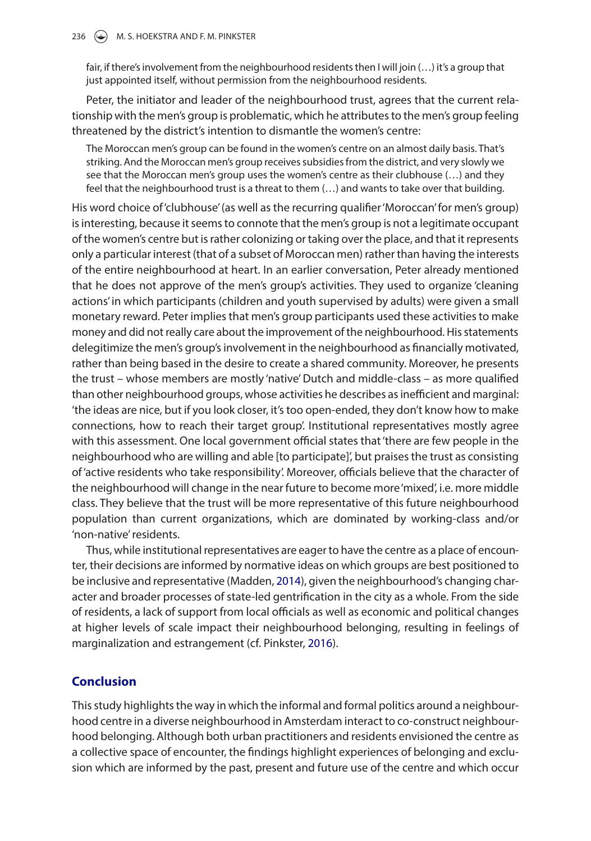fair, if there's involvement from the neighbourhood residents then I will join (…) it's a group that just appointed itself, without permission from the neighbourhood residents.

Peter, the initiator and leader of the neighbourhood trust, agrees that the current relationship with the men's group is problematic, which he attributes to the men's group feeling threatened by the district's intention to dismantle the women's centre:

The Moroccan men's group can be found in the women's centre on an almost daily basis. That's striking. And the Moroccan men's group receives subsidies from the district, and very slowly we see that the Moroccan men's group uses the women's centre as their clubhouse (...) and they feel that the neighbourhood trust is a threat to them (…) and wants to take over that building.

His word choice of 'clubhouse' (as well as the recurring qualifier 'Moroccan' for men's group) is interesting, because it seems to connote that the men's group is not a legitimate occupant of the women's centre but is rather colonizing or taking over the place, and that it represents only a particular interest (that of a subset of Moroccan men) rather than having the interests of the entire neighbourhood at heart. In an earlier conversation, Peter already mentioned that he does not approve of the men's group's activities. They used to organize 'cleaning actions' in which participants (children and youth supervised by adults) were given a small monetary reward. Peter implies that men's group participants used these activities to make money and did not really care about the improvement of the neighbourhood. His statements delegitimize the men's group's involvement in the neighbourhood as financially motivated, rather than being based in the desire to create a shared community. Moreover, he presents the trust – whose members are mostly 'native' Dutch and middle-class – as more qualified than other neighbourhood groups, whose activities he describes as inefficient and marginal: 'the ideas are nice, but if you look closer, it's too open-ended, they don't know how to make connections, how to reach their target group'. Institutional representatives mostly agree with this assessment. One local government official states that 'there are few people in the neighbourhood who are willing and able [to participate]', but praises the trust as consisting of 'active residents who take responsibility'. Moreover, officials believe that the character of the neighbourhood will change in the near future to become more 'mixed', i.e. more middle class. They believe that the trust will be more representative of this future neighbourhood population than current organizations, which are dominated by working-class and/or 'non-native' residents.

Thus, while institutional representatives are eager to have the centre as a place of encounter, their decisions are informed by normative ideas on which groups are best positioned to be inclusive and representative (Madden, [2014](#page-19-18)), given the neighbourhood's changing character and broader processes of state-led gentrification in the city as a whole. From the side of residents, a lack of support from local officials as well as economic and political changes at higher levels of scale impact their neighbourhood belonging, resulting in feelings of marginalization and estrangement (cf. Pinkster, [2016\)](#page-19-19).

## **Conclusion**

This study highlights the way in which the informal and formal politics around a neighbourhood centre in a diverse neighbourhood in Amsterdam interact to co-construct neighbourhood belonging. Although both urban practitioners and residents envisioned the centre as a collective space of encounter, the findings highlight experiences of belonging and exclusion which are informed by the past, present and future use of the centre and which occur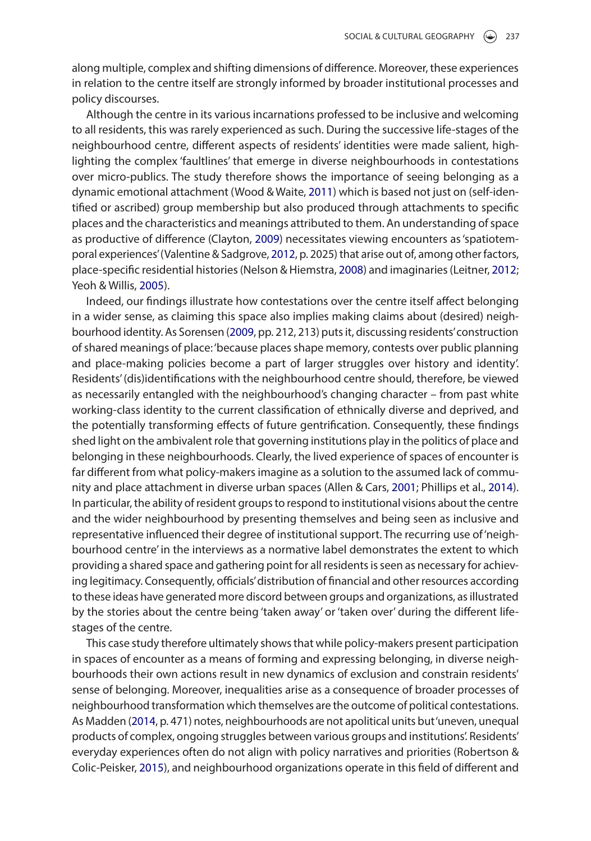along multiple, complex and shifting dimensions of difference. Moreover, these experiences in relation to the centre itself are strongly informed by broader institutional processes and policy discourses.

Although the centre in its various incarnations professed to be inclusive and welcoming to all residents, this was rarely experienced as such. During the successive life-stages of the neighbourhood centre, different aspects of residents' identities were made salient, highlighting the complex 'faultlines' that emerge in diverse neighbourhoods in contestations over micro-publics. The study therefore shows the importance of seeing belonging as a dynamic emotional attachment (Wood & Waite, [2011](#page-20-4)) which is based not just on (self-identified or ascribed) group membership but also produced through attachments to specific places and the characteristics and meanings attributed to them. An understanding of space as productive of difference (Clayton, [2009](#page-18-9)) necessitates viewing encounters as 'spatiotemporal experiences' (Valentine & Sadgrove, [2012](#page-20-6), p. 2025) that arise out of, among other factors, place-specific residential histories (Nelson & Hiemstra, [2008](#page-19-9)) and imaginaries (Leitner, [2012](#page-18-4); Yeoh & Willis, [2005\)](#page-20-5).

<span id="page-16-1"></span>Indeed, our findings illustrate how contestations over the centre itself affect belonging in a wider sense, as claiming this space also implies making claims about (desired) neighbourhood identity. As Sorensen ([2009,](#page-19-20) pp. 212, 213) puts it, discussing residents' construction of shared meanings of place: 'because places shape memory, contests over public planning and place-making policies become a part of larger struggles over history and identity'. Residents' (dis)identifications with the neighbourhood centre should, therefore, be viewed as necessarily entangled with the neighbourhood's changing character – from past white working-class identity to the current classification of ethnically diverse and deprived, and the potentially transforming effects of future gentrification. Consequently, these findings shed light on the ambivalent role that governing institutions play in the politics of place and belonging in these neighbourhoods. Clearly, the lived experience of spaces of encounter is far different from what policy-makers imagine as a solution to the assumed lack of community and place attachment in diverse urban spaces (Allen & Cars, [2001;](#page-17-0) Phillips et al., [2014](#page-19-2)). In particular, the ability of resident groups to respond to institutional visions about the centre and the wider neighbourhood by presenting themselves and being seen as inclusive and representative influenced their degree of institutional support. The recurring use of 'neighbourhood centre' in the interviews as a normative label demonstrates the extent to which providing a shared space and gathering point for all residents is seen as necessary for achieving legitimacy. Consequently, officials' distribution of financial and other resources according to these ideas have generated more discord between groups and organizations, as illustrated by the stories about the centre being 'taken away' or 'taken over' during the different lifestages of the centre.

<span id="page-16-0"></span>This case study therefore ultimately shows that while policy-makers present participation in spaces of encounter as a means of forming and expressing belonging, in diverse neighbourhoods their own actions result in new dynamics of exclusion and constrain residents' sense of belonging. Moreover, inequalities arise as a consequence of broader processes of neighbourhood transformation which themselves are the outcome of political contestations. As Madden ([2014,](#page-19-18) p. 471) notes, neighbourhoods are not apolitical units but 'uneven, unequal products of complex, ongoing struggles between various groups and institutions'. Residents' everyday experiences often do not align with policy narratives and priorities (Robertson & Colic-Peisker, [2015\)](#page-19-21), and neighbourhood organizations operate in this field of different and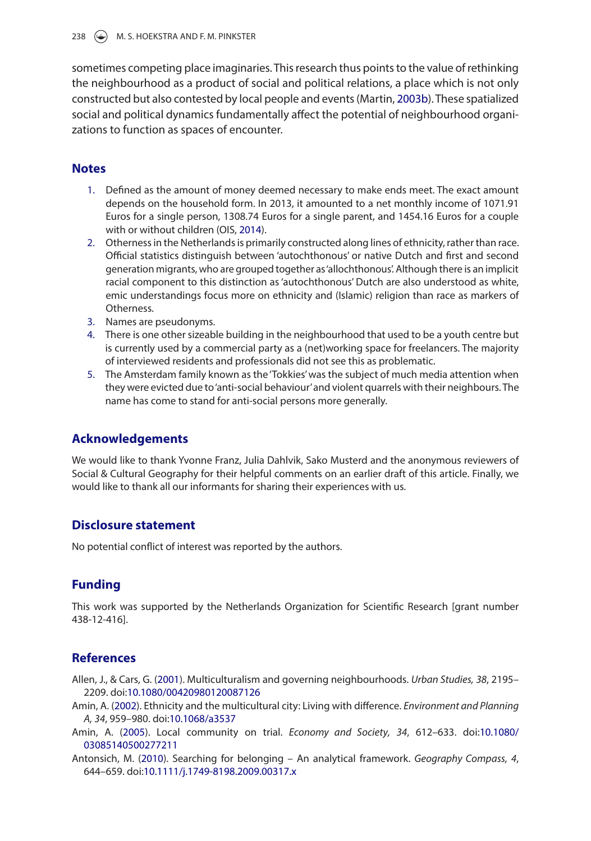sometimes competing place imaginaries. This research thus points to the value of rethinking the neighbourhood as a product of social and political relations, a place which is not only constructed but also contested by local people and events (Martin, [2003b](#page-19-22)). These spatialized social and political dynamics fundamentally affect the potential of neighbourhood organizations to function as spaces of encounter.

## **Notes**

- <span id="page-17-9"></span><span id="page-17-4"></span>1. Defined as the amount of money deemed necessary to make ends meet. The exact amount depends on the household form. In 2013, it amounted to a net monthly income of 1071.91 Euros for a single person, 1308.74 Euros for a single parent, and 1454.16 Euros for a couple with or without children (OIS, [2014](#page-19-23)).
- <span id="page-17-10"></span><span id="page-17-5"></span>2. Otherness in the Netherlands is primarily constructed along lines of ethnicity, rather than race. Official statistics distinguish between 'autochthonous' or native Dutch and first and second generation migrants, who are grouped together as 'allochthonous'. Although there is an implicit racial component to this distinction as 'autochthonous' Dutch are also understood as white, emic understandings focus more on ethnicity and (Islamic) religion than race as markers of Otherness.
- <span id="page-17-6"></span>3. Names are pseudonyms.
- <span id="page-17-7"></span>4. There is one other sizeable building in the neighbourhood that used to be a youth centre but is currently used by a commercial party as a (net)working space for freelancers. The majority of interviewed residents and professionals did not see this as problematic.
- <span id="page-17-8"></span>5. The Amsterdam family known as the 'Tokkies' was the subject of much media attention when they were evicted due to 'anti-social behaviour' and violent quarrels with their neighbours. The name has come to stand for anti-social persons more generally.

# **Acknowledgements**

We would like to thank Yvonne Franz, Julia Dahlvik, Sako Musterd and the anonymous reviewers of Social & Cultural Geography for their helpful comments on an earlier draft of this article. Finally, we would like to thank all our informants for sharing their experiences with us.

# **Disclosure statement**

No potential conflict of interest was reported by the authors.

# **Funding**

This work was supported by the Netherlands Organization for Scientific Research [grant number 438-12-416].

# **References**

- <span id="page-17-0"></span>Allen, J., & Cars, G. [\(2001\)](#page-2-0). Multiculturalism and governing neighbourhoods. *Urban Studies, 38*, 2195– 2209. doi[:10.1080/00420980120087126](https://doi.org/10.1080/00420980120087126)
- <span id="page-17-2"></span>Amin, A. [\(2002\)](#page-2-1). Ethnicity and the multicultural city: Living with difference. *Environment and Planning A, 34*, 959–980. doi:[10.1068/a3537](https://doi.org/10.1068/a3537)
- <span id="page-17-1"></span>Amin, A. ([2005](#page-2-2)). Local community on trial. *Economy and Society, 34*, 612–633. doi:[10.1080/](https://doi.org/10.1080/03085140500277211) [03085140500277211](https://doi.org/10.1080/03085140500277211)
- <span id="page-17-3"></span>Antonsich, M. ([2010](#page-3-0)). Searching for belonging – An analytical framework. *Geography Compass, 4*, 644–659. doi:[10.1111/j.1749-8198.2009.00317.x](https://doi.org/10.1111/j.1749-8198.2009.00317.x)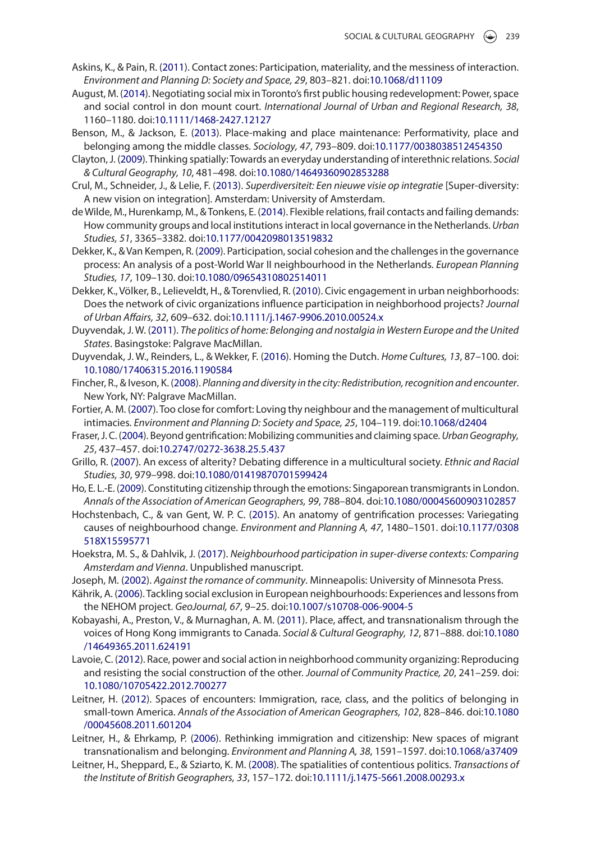- <span id="page-18-15"></span>Askins, K., & Pain, R. ([2011](#page-5-0)). Contact zones: Participation, materiality, and the messiness of interaction. *Environment and Planning D: Society and Space, 29*, 803–821. doi:[10.1068/d11109](https://doi.org/10.1068/d11109)
- <span id="page-18-22"></span>August, M. ([2014](#page-6-0)). Negotiating social mix in Toronto's first public housing redevelopment: Power, space and social control in don mount court. *International Journal of Urban and Regional Research, 38*, 1160–1180. doi[:10.1111/1468-2427.12127](https://doi.org/10.1111/1468-2427.12127)
- <span id="page-18-11"></span>Benson, M., & Jackson, E. [\(2013\)](#page-4-0). Place-making and place maintenance: Performativity, place and belonging among the middle classes. *Sociology, 47*, 793–809. doi:[10.1177/0038038512454350](https://doi.org/10.1177/0038038512454350)
- <span id="page-18-9"></span>Clayton, J. ([2009\)](#page-4-1). Thinking spatially: Towards an everyday understanding of interethnic relations. *Social & Cultural Geography, 10*, 481–498. doi:[10.1080/14649360902853288](https://doi.org/10.1080/14649360902853288)
- <span id="page-18-0"></span>Crul, M., Schneider, J., & Lelie, F. [\(2013\)](#page-2-3). *Superdiversiteit: Een nieuwe visie op integratie* [Super-diversity: A new vision on integration]. Amsterdam: University of Amsterdam.
- <span id="page-18-19"></span>de Wilde, M., Hurenkamp, M., & Tonkens, E. ([2014](#page-6-1)). Flexible relations, frail contacts and failing demands: How community groups and local institutions interact in local governance in the Netherlands. *Urban Studies, 51*, 3365–3382. doi:[10.1177/0042098013519832](https://doi.org/10.1177/0042098013519832)
- <span id="page-18-14"></span>Dekker, K., & Van Kempen, R. ([2009\)](#page-5-1). Participation, social cohesion and the challenges in the governance process: An analysis of a post-World War II neighbourhood in the Netherlands. *European Planning Studies, 17*, 109–130. doi[:10.1080/09654310802514011](https://doi.org/10.1080/09654310802514011)
- <span id="page-18-18"></span>Dekker, K., Völker, B., Lelieveldt, H., & Torenvlied, R. ([2010](#page-6-2)). Civic engagement in urban neighborhoods: Does the network of civic organizations influence participation in neighborhood projects? *Journal of Urban Affairs, 32*, 609–632. doi:[10.1111/j.1467-9906.2010.00524.x](https://doi.org/10.1111/j.1467-9906.2010.00524.x)
- <span id="page-18-5"></span>Duyvendak, J. W. [\(2011\)](#page-4-2). *The politics of home: Belonging and nostalgia in Western Europe and the United States*. Basingstoke: Palgrave MacMillan.
- <span id="page-18-13"></span>Duyvendak, J. W., Reinders, L., & Wekker, F. [\(2016\)](#page-5-2). Homing the Dutch. *Home Cultures, 13*, 87–100. doi: [10.1080/17406315.2016.1190584](https://doi.org/10.1080/17406315.2016.1190584)
- <span id="page-18-3"></span>Fincher, R., & Iveson, K. [\(2008](#page-2-4)). *Planning and diversity in the city: Redistribution, recognition and encounter*. New York, NY: Palgrave MacMillan.
- <span id="page-18-12"></span>Fortier, A. M. [\(2007\)](#page-5-3). Too close for comfort: Loving thy neighbour and the management of multicultural intimacies. *Environment and Planning D: Society and Space, 25*, 104–119. doi[:10.1068/d2404](https://doi.org/10.1068/d2404)
- <span id="page-18-21"></span>Fraser, J. C. ([2004\)](#page-6-3). Beyond gentrification: Mobilizing communities and claiming space. *Urban Geography, 25*, 437–457. doi:[10.2747/0272-3638.25.5.437](https://doi.org/10.2747/0272-3638.25.5.437)
- <span id="page-18-2"></span>Grillo, R. ([2007](#page-2-5)). An excess of alterity? Debating difference in a multicultural society. *Ethnic and Racial Studies, 30*, 979–998. doi[:10.1080/01419870701599424](https://doi.org/10.1080/01419870701599424)
- <span id="page-18-6"></span>Ho, E. L.-E. ([2009\)](#page-4-3). Constituting citizenship through the emotions: Singaporean transmigrants in London. *Annals of the Association of American Geographers, 99*, 788–804. doi:[10.1080/00045600903102857](https://doi.org/10.1080/00045600903102857)
- <span id="page-18-23"></span>Hochstenbach, C., & van Gent, W. P. C. [\(2015\)](#page-7-0). An anatomy of gentrification processes: Variegating causes of neighbourhood change. *Environment and Planning A, 47*, 1480–1501. doi[:10.1177/0308](https://doi.org/10.1177/0308518X15595771) [518X15595771](https://doi.org/10.1177/0308518X15595771)
- <span id="page-18-17"></span>Hoekstra, M. S., & Dahlvik, J. ([2017](#page-6-4)). *Neighbourhood participation in super-diverse contexts: Comparing Amsterdam and Vienna*. Unpublished manuscript.
- <span id="page-18-16"></span>Joseph, M. ([2002](#page-6-5)). *Against the romance of community*. Minneapolis: University of Minnesota Press.
- <span id="page-18-1"></span>Kährik, A. [\(2006\)](#page-2-6). Tackling social exclusion in European neighbourhoods: Experiences and lessons from the NEHOM project. *GeoJournal, 67*, 9–25. doi:[10.1007/s10708-006-9004-5](https://doi.org/10.1007/s10708-006-9004-5)
- <span id="page-18-8"></span>Kobayashi, A., Preston, V., & Murnaghan, A. M. ([2011](#page-4-4)). Place, affect, and transnationalism through the voices of Hong Kong immigrants to Canada. *Social & Cultural Geography, 12*, 871–888. doi:[10.1080](https://doi.org/10.1080/14649365.2011.624191) [/14649365.2011.624191](https://doi.org/10.1080/14649365.2011.624191)
- <span id="page-18-20"></span>Lavoie, C. ([2012\)](#page-6-6). Race, power and social action in neighborhood community organizing: Reproducing and resisting the social construction of the other. *Journal of Community Practice, 20*, 241–259. doi: [10.1080/10705422.2012.700277](https://doi.org/10.1080/10705422.2012.700277)
- <span id="page-18-4"></span>Leitner, H. ([2012](#page-3-1)). Spaces of encounters: Immigration, race, class, and the politics of belonging in small-town America. *Annals of the Association of American Geographers, 102*, 828–846. doi:[10.1080](https://doi.org/10.1080/00045608.2011.601204) [/00045608.2011.601204](https://doi.org/10.1080/00045608.2011.601204)
- <span id="page-18-7"></span>Leitner, H., & Ehrkamp, P. ([2006](#page-4-5)). Rethinking immigration and citizenship: New spaces of migrant transnationalism and belonging. *Environment and Planning A, 38*, 1591–1597. doi[:10.1068/a37409](https://doi.org/10.1068/a37409)
- <span id="page-18-10"></span>Leitner, H., Sheppard, E., & Sziarto, K. M. [\(2008](#page-4-6)). The spatialities of contentious politics. *Transactions of the Institute of British Geographers, 33*, 157–172. doi[:10.1111/j.1475-5661.2008.00293.x](https://doi.org/10.1111/j.1475-5661.2008.00293.x)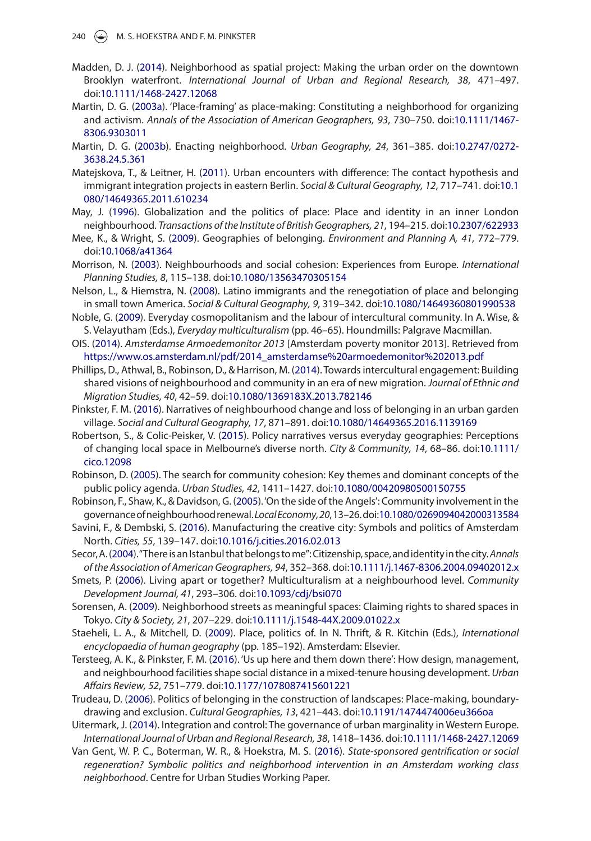- <span id="page-19-18"></span>Madden, D. J. ([2014](#page-8-0)). Neighborhood as spatial project: Making the urban order on the downtown Brooklyn waterfront. *International Journal of Urban and Regional Research, 38*, 471–497. doi:[10.1111/1468-2427.12068](https://doi.org/10.1111/1468-2427.12068)
- <span id="page-19-12"></span>Martin, D. G. ([2003a](#page-5-4)). 'Place-framing' as place-making: Constituting a neighborhood for organizing and activism. *Annals of the Association of American Geographers, 93*, 730–750. doi[:10.1111/1467-](https://doi.org/10.1111/1467-8306.9303011) [8306.9303011](https://doi.org/10.1111/1467-8306.9303011)
- <span id="page-19-22"></span>Martin, D. G. ([2003b](#page-17-9)). Enacting neighborhood. *Urban Geography, 24*, 361–385. doi[:10.2747/0272-](https://doi.org/10.2747/0272-3638.24.5.361) [3638.24.5.361](https://doi.org/10.2747/0272-3638.24.5.361)
- <span id="page-19-3"></span>Matejskova, T., & Leitner, H. ([2011](#page-3-2)). Urban encounters with difference: The contact hypothesis and immigrant integration projects in eastern Berlin. *Social & Cultural Geography, 12*, 717–741. doi:[10.1](https://doi.org/10.1080/14649365.2011.610234) [080/14649365.2011.610234](https://doi.org/10.1080/14649365.2011.610234)
- <span id="page-19-4"></span>May, J. [\(1996\)](#page-3-3). Globalization and the politics of place: Place and identity in an inner London neighbourhood. *Transactions of the Institute of British Geographers, 21*, 194–215. doi[:10.2307/622933](https://doi.org/10.2307/622933)
- <span id="page-19-6"></span>Mee, K., & Wright, S. [\(2009\)](#page-3-4). Geographies of belonging. *Environment and Planning A, 41*, 772–779. doi:[10.1068/a41364](https://doi.org/10.1068/a41364)
- <span id="page-19-0"></span>Morrison, N. [\(2003\)](#page-2-7). Neighbourhoods and social cohesion: Experiences from Europe. *International Planning Studies, 8*, 115–138. doi[:10.1080/13563470305154](https://doi.org/10.1080/13563470305154)
- <span id="page-19-9"></span>Nelson, L., & Hiemstra, N. ([2008](#page-4-7)). Latino immigrants and the renegotiation of place and belonging in small town America. *Social & Cultural Geography, 9*, 319–342. doi[:10.1080/14649360801990538](https://doi.org/10.1080/14649360801990538)
- <span id="page-19-10"></span>Noble, G. ([2009](#page-4-8)). Everyday cosmopolitanism and the labour of intercultural community. In A. Wise, & S. Velayutham (Eds.), *Everyday multiculturalism* (pp. 46–65). Houndmills: Palgrave Macmillan.
- <span id="page-19-23"></span>OIS. [\(2014\)](#page-17-10). *Amsterdamse Armoedemonitor 2013* [Amsterdam poverty monitor 2013]. Retrieved from [https://www.os.amsterdam.nl/pdf/2014\\_amsterdamse%20armoedemonitor%202013.pdf](https://www.os.amsterdam.nl/pdf/2014_amsterdamse%20armoedemonitor%202013.pdf)
- <span id="page-19-2"></span>Phillips, D., Athwal, B., Robinson, D., & Harrison, M. [\(2014\)](#page-2-8). Towards intercultural engagement: Building shared visions of neighbourhood and community in an era of new migration. *Journal of Ethnic and Migration Studies, 40*, 42–59. doi[:10.1080/1369183X.2013.782146](https://doi.org/10.1080/1369183X.2013.782146)
- <span id="page-19-19"></span>Pinkster, F. M. [\(2016](#page-10-0)). Narratives of neighbourhood change and loss of belonging in an urban garden village. *Social and Cultural Geography, 17*, 871–891. doi[:10.1080/14649365.2016.1139169](https://doi.org/10.1080/14649365.2016.1139169)
- <span id="page-19-21"></span>Robertson, S., & Colic-Peisker, V. ([2015](#page-16-0)). Policy narratives versus everyday geographies: Perceptions of changing local space in Melbourne's diverse north. *City & Community, 14*, 68–86. doi:[10.1111/](https://doi.org/10.1111/cico.12098) [cico.12098](https://doi.org/10.1111/cico.12098)
- <span id="page-19-1"></span>Robinson, D. ([2005](#page-2-9)). The search for community cohesion: Key themes and dominant concepts of the public policy agenda. *Urban Studies, 42*, 1411–1427. doi:[10.1080/00420980500150755](https://doi.org/10.1080/00420980500150755)
- <span id="page-19-15"></span>Robinson, F., Shaw, K., & Davidson, G. [\(2005\)](#page-6-7). 'On the side of the Angels': Community involvement in the governance of neighbourhood renewal. *Local Economy,20*, 13–26. doi[:10.1080/0269094042000313584](https://doi.org/10.1080/0269094042000313584)
- <span id="page-19-16"></span>Savini, F., & Dembski, S. [\(2016\)](#page-8-1). Manufacturing the creative city: Symbols and politics of Amsterdam North. *Cities, 55*, 139–147. doi:[10.1016/j.cities.2016.02.013](https://doi.org/10.1016/j.cities.2016.02.013)
- <span id="page-19-7"></span>Secor, A. [\(2004](#page-4-9)). "There is an Istanbul that belongs to me": Citizenship, space, and identity in the city. *Annals of the Association of American Geographers, 94*, 352–368. doi:[10.1111/j.1467-8306.2004.09402012.x](https://doi.org/10.1111/j.1467-8306.2004.09402012.x)
- <span id="page-19-13"></span>Smets, P. ([2006](#page-6-8)). Living apart or together? Multiculturalism at a neighbourhood level. *Community Development Journal, 41*, 293–306. doi:[10.1093/cdj/bsi070](https://doi.org/10.1093/cdj/bsi070)
- <span id="page-19-20"></span>Sorensen, A. [\(2009\)](#page-16-1). Neighborhood streets as meaningful spaces: Claiming rights to shared spaces in Tokyo. *City & Society, 21*, 207–229. doi:[10.1111/j.1548-44X.2009.01022.x](https://doi.org/10.1111/j.1548-44X.2009.01022.x)
- <span id="page-19-5"></span>Staeheli, L. A., & Mitchell, D. ([2009](#page-3-5)). Place, politics of. In N. Thrift, & R. Kitchin (Eds.), *International encyclopaedia of human geography* (pp. 185–192). Amsterdam: Elsevier.
- <span id="page-19-14"></span>Tersteeg, A. K., & Pinkster, F. M. [\(2016\)](#page-6-9). 'Us up here and them down there': How design, management, and neighbourhood facilities shape social distance in a mixed-tenure housing development. *Urban Affairs Review, 52*, 751–779. doi[:10.1177/1078087415601221](https://doi.org/10.1177/1078087415601221)
- <span id="page-19-8"></span>Trudeau, D. ([2006](#page-4-10)). Politics of belonging in the construction of landscapes: Place-making, boundarydrawing and exclusion. *Cultural Geographies, 13*, 421–443. doi:[10.1191/1474474006eu366oa](https://doi.org/10.1191/1474474006eu366oa)

<span id="page-19-11"></span>Uitermark, J. [\(2014\)](#page-5-5). Integration and control: The governance of urban marginality in Western Europe. *International Journal of Urban and Regional Research, 38*, 1418–1436. doi:[10.1111/1468-2427.12069](https://doi.org/10.1111/1468-2427.12069)

<span id="page-19-17"></span>Van Gent, W. P. C., Boterman, W. R., & Hoekstra, M. S. ([2016](#page-8-2)). *State-sponsored gentrification or social regeneration? Symbolic politics and neighborhood intervention in an Amsterdam working class neighborhood*. Centre for Urban Studies Working Paper.